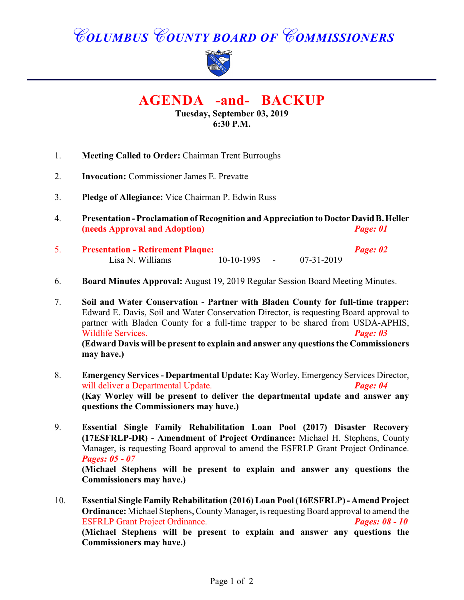# *COLUMBUS COUNTY BOARD OF COMMISSIONERS*



**AGENDA -and- BACKUP**

**Tuesday, September 03, 2019 6:30 P.M.**

- 1. **Meeting Called to Order:** Chairman Trent Burroughs
- 2. **Invocation:** Commissioner James E. Prevatte
- 3. **Pledge of Allegiance:** Vice Chairman P. Edwin Russ
- 4. **Presentation Proclamation of Recognition and Appreciation to Doctor David B. Heller (needs Approval and Adoption)** *Page: 01*
- 5. **Presentation Retirement Plaque:** *Page: 02* Lisa N. Williams 10-10-1995 - 07-31-2019
- 6. **Board Minutes Approval:** August 19, 2019 Regular Session Board Meeting Minutes.
- 7. **Soil and Water Conservation Partner with Bladen County for full-time trapper:** Edward E. Davis, Soil and Water Conservation Director, is requesting Board approval to partner with Bladen County for a full-time trapper to be shared from USDA-APHIS, Wildlife Services. *Page: 03* **(Edward Davis will be present to explain and answer any questions the Commissioners may have.)**
- 8. **Emergency Services Departmental Update:** Kay Worley, Emergency Services Director, will deliver a Departmental Update. *Page: 04* **(Kay Worley will be present to deliver the departmental update and answer any questions the Commissioners may have.)**
- 9. **Essential Single Family Rehabilitation Loan Pool (2017) Disaster Recovery (17ESFRLP-DR) - Amendment of Project Ordinance:** Michael H. Stephens, County Manager, is requesting Board approval to amend the ESFRLP Grant Project Ordinance. *Pages: 05 - 07* **(Michael Stephens will be present to explain and answer any questions the Commissioners may have.)**
- 10. **Essential Single Family Rehabilitation (2016) Loan Pool (16ESFRLP)- Amend Project Ordinance:** Michael Stephens, County Manager, is requesting Board approval to amend the ESFRLP Grant Project Ordinance. *Pages: 08 - 10* **(Michael Stephens will be present to explain and answer any questions the Commissioners may have.)**